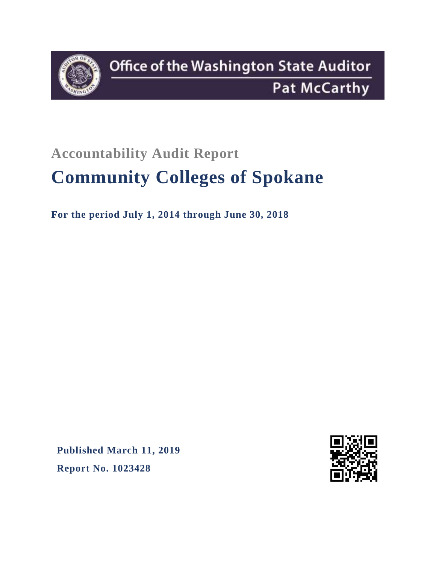

## **Accountability Audit Report**

# **Community Colleges of Spokane**

**For the period July 1, 2014 through June 30, 2018**

**Published March 11, 2019 Report No. 1023428**

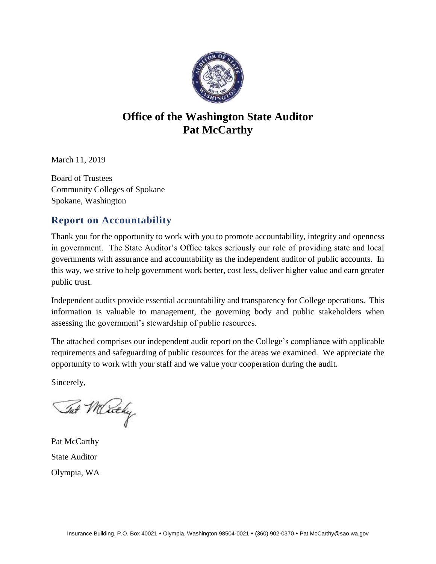

### **Office of the Washington State Auditor Pat McCarthy**

March 11, 2019

Board of Trustees Community Colleges of Spokane Spokane, Washington

#### **Report on Accountability**

Thank you for the opportunity to work with you to promote accountability, integrity and openness in government. The State Auditor's Office takes seriously our role of providing state and local governments with assurance and accountability as the independent auditor of public accounts. In this way, we strive to help government work better, cost less, deliver higher value and earn greater public trust.

Independent audits provide essential accountability and transparency for College operations. This information is valuable to management, the governing body and public stakeholders when assessing the government's stewardship of public resources.

The attached comprises our independent audit report on the College's compliance with applicable requirements and safeguarding of public resources for the areas we examined. We appreciate the opportunity to work with your staff and we value your cooperation during the audit.

Sincerely,

Tat Merchy

Pat McCarthy State Auditor Olympia, WA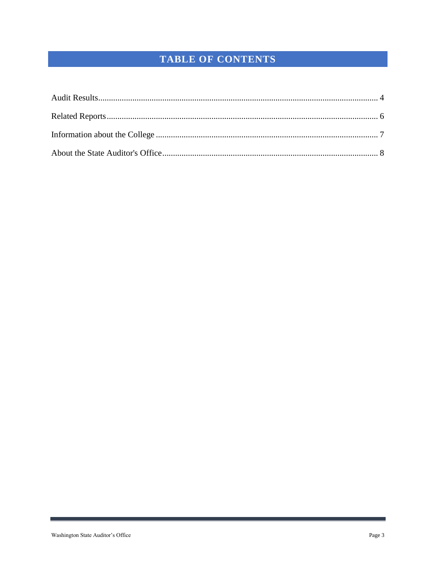## TABLE OF CONTENTS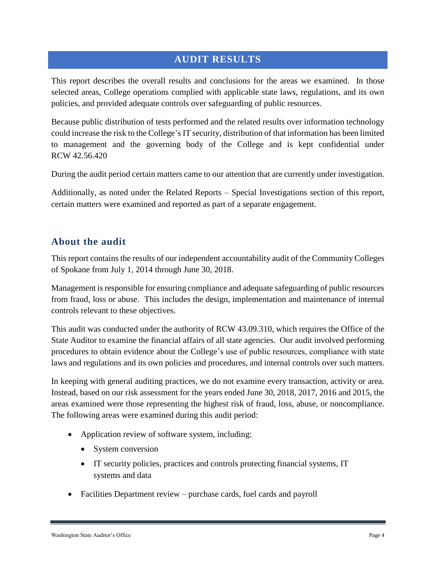#### <span id="page-3-0"></span>**AUDIT RESULTS**

This report describes the overall results and conclusions for the areas we examined. In those selected areas, College operations complied with applicable state laws, regulations, and its own policies, and provided adequate controls over safeguarding of public resources.

Because public distribution of tests performed and the related results over information technology could increase the risk to the College's IT security, distribution of that information has been limited to management and the governing body of the College and is kept confidential under RCW 42.56.420

During the audit period certain matters came to our attention that are currently under investigation.

Additionally, as noted under the Related Reports – Special Investigations section of this report, certain matters were examined and reported as part of a separate engagement.

#### **About the audit**

This report contains the results of our independent accountability audit of the Community Colleges of Spokane from July 1, 2014 through June 30, 2018.

Management is responsible for ensuring compliance and adequate safeguarding of public resources from fraud, loss or abuse. This includes the design, implementation and maintenance of internal controls relevant to these objectives.

This audit was conducted under the authority of RCW 43.09.310, which requires the Office of the State Auditor to examine the financial affairs of all state agencies. Our audit involved performing procedures to obtain evidence about the College's use of public resources, compliance with state laws and regulations and its own policies and procedures, and internal controls over such matters.

In keeping with general auditing practices, we do not examine every transaction, activity or area. Instead, based on our risk assessment for the years ended June 30, 2018, 2017, 2016 and 2015, the areas examined were those representing the highest risk of fraud, loss, abuse, or noncompliance. The following areas were examined during this audit period:

- Application review of software system, including:
	- System conversion
	- IT security policies, practices and controls protecting financial systems, IT systems and data
- Facilities Department review purchase cards, fuel cards and payroll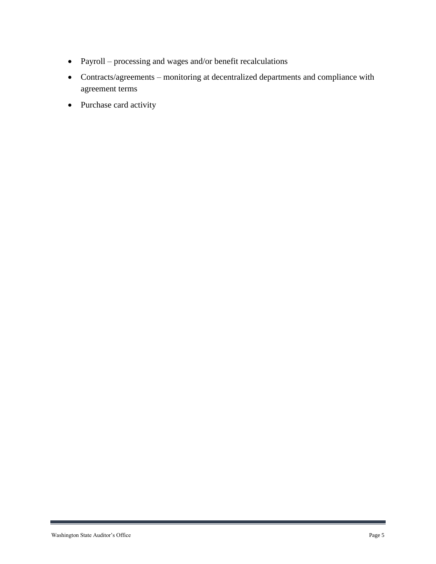- Payroll processing and wages and/or benefit recalculations
- Contracts/agreements monitoring at decentralized departments and compliance with agreement terms
- Purchase card activity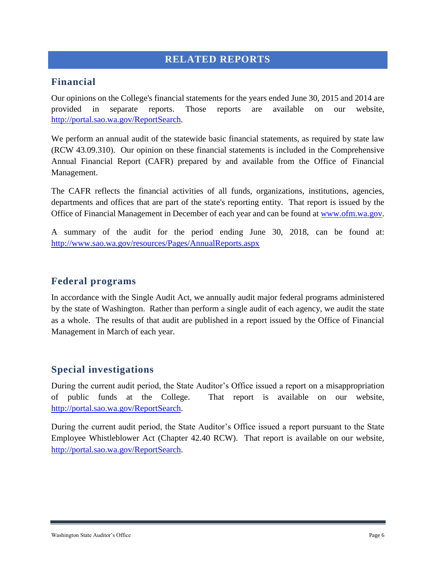#### <span id="page-5-0"></span>**RELATED REPORTS**

#### **Financial**

Our opinions on the College's financial statements for the years ended June 30, 2015 and 2014 are provided in separate reports. Those reports are available on our website, [http://portal.sao.wa.gov/ReportSearch.](http://portal.sao.wa.gov/ReportSearch)

We perform an annual audit of the statewide basic financial statements, as required by state law (RCW 43.09.310). Our opinion on these financial statements is included in the Comprehensive Annual Financial Report (CAFR) prepared by and available from the Office of Financial Management.

The CAFR reflects the financial activities of all funds, organizations, institutions, agencies, departments and offices that are part of the state's reporting entity. That report is issued by the Office of Financial Management in December of each year and can be found at [www.ofm.wa.gov.](http://www.ofm.wa.gov/)

A summary of the audit for the period ending June 30, 2018, can be found at: <http://www.sao.wa.gov/resources/Pages/AnnualReports.aspx>

#### **Federal programs**

In accordance with the Single Audit Act, we annually audit major federal programs administered by the state of Washington. Rather than perform a single audit of each agency, we audit the state as a whole. The results of that audit are published in a report issued by the Office of Financial Management in March of each year.

#### **Special investigations**

During the current audit period, the State Auditor's Office issued a report on a misappropriation of public funds at the College. That report is available on our website, [http://portal.sao.wa.gov/ReportSearch.](http://portal.sao.wa.gov/ReportSearch/?qItemType=1&qItemDesc=Community%20Colleges%20of%20Spokane&qItemValue=S676)

During the current audit period, the State Auditor's Office issued a report pursuant to the State Employee Whistleblower Act (Chapter 42.40 RCW). That report is available on our website, [http://portal.sao.wa.gov/ReportSearch.](http://portal.sao.wa.gov/ReportSearch/?qItemType=1&qItemDesc=Community%20Colleges%20of%20Spokane&qItemValue=S676)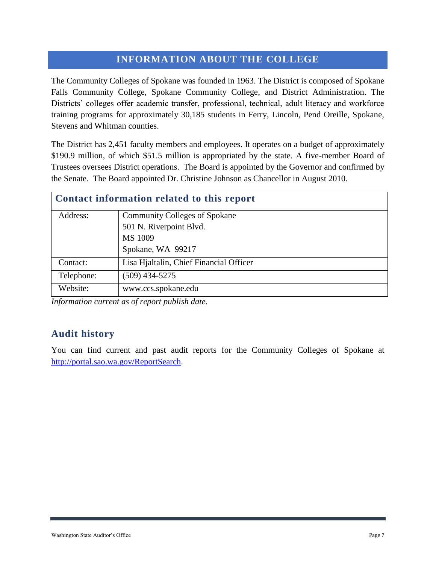#### <span id="page-6-0"></span>**INFORMATION ABOUT THE COLLEGE**

The Community Colleges of Spokane was founded in 1963. The District is composed of Spokane Falls Community College, Spokane Community College, and District Administration. The Districts' colleges offer academic transfer, professional, technical, adult literacy and workforce training programs for approximately 30,185 students in Ferry, Lincoln, Pend Oreille, Spokane, Stevens and Whitman counties.

The District has 2,451 faculty members and employees. It operates on a budget of approximately \$190.9 million, of which \$51.5 million is appropriated by the state. A five-member Board of Trustees oversees District operations. The Board is appointed by the Governor and confirmed by the Senate. The Board appointed Dr. Christine Johnson as Chancellor in August 2010.

| Contact information related to this report |                                         |  |  |
|--------------------------------------------|-----------------------------------------|--|--|
| Address:                                   | <b>Community Colleges of Spokane</b>    |  |  |
|                                            | 501 N. Riverpoint Blvd.                 |  |  |
|                                            | MS 1009                                 |  |  |
|                                            | Spokane, WA 99217                       |  |  |
| Contact:                                   | Lisa Hjaltalin, Chief Financial Officer |  |  |
| Telephone:                                 | $(509)$ 434-5275                        |  |  |
| Website:                                   | www.ccs.spokane.edu                     |  |  |

*Information current as of report publish date.*

#### **Audit history**

You can find current and past audit reports for the Community Colleges of Spokane at [http://portal.sao.wa.gov/ReportSearch.](http://portal.sao.wa.gov/ReportSearch/?qItemType=1&qItemDesc=Community%20Colleges%20of%20Spokane&qItemValue=S676)